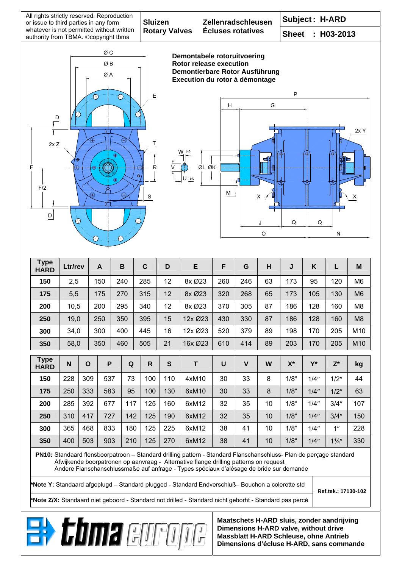All rights strictly reserved. Reproduction |<br> **Subject : H-ARD Conserved. Reproduction | Sluizen Zellenradschleusen | Subject : H-ARD** or issue to third parties in any form whatever is not permitted without written authority from TBMA. ©copyright tbma

Ø C Ø B Ø A E €5 A D Ŧ T 2x Z ⇔ F R  $F/2$ S D Æ



**Sluizen Zellenradschleusen** 

Rotary Valves Écluses rotatives **Sheet : H03-2013** 

G H P **Demontierbare Rotor Ausführung Execution du rotor à démontage** 



| <b>Type</b><br><b>HARD</b> | Ltr/rev     |             | A   |            | B          |     | $\mathbf c$  | D      | E       | F   | G   | H   | J       | K    | L              | M               |
|----------------------------|-------------|-------------|-----|------------|------------|-----|--------------|--------|---------|-----|-----|-----|---------|------|----------------|-----------------|
| 150                        | 2,5         |             |     | 150<br>240 |            |     | 285          | 12     | 8x Ø23  | 260 | 246 | 63  | 173     | 95   | 120            | M6              |
| 175                        | 175<br>5,5  |             |     | 270        |            | 315 | 12           | 8x Ø23 | 320     | 268 | 65  | 173 | 105     | 130  | M <sub>6</sub> |                 |
| 200                        | 200<br>10,5 |             |     | 295        |            | 340 | 12           | 8x Ø23 | 370     | 305 | 87  | 186 | 128     | 160  | M <sub>8</sub> |                 |
| 250                        | 19,0        |             |     | 250<br>350 |            | 395 |              | 15     | 12x Ø23 | 430 | 330 | 87  | 186     | 128  | 160            | M <sub>8</sub>  |
| 300                        |             | 300<br>34,0 |     |            | 400<br>445 |     |              | 16     | 12x Ø23 | 520 | 379 | 89  | 198     | 170  | 205            | M10             |
| 350                        | 58,0        |             | 350 |            | 460        |     | 505          | 21     | 16x Ø23 | 610 | 414 | 89  | 203     | 170  | 205            | M <sub>10</sub> |
|                            |             |             |     |            |            |     |              |        |         |     |     |     |         |      |                |                 |
| <b>Type</b><br><b>HARD</b> | N           | $\mathbf O$ |     | P          | Q          |     | $\mathsf{R}$ | S      | Т       | U   | V   | W   | $X^*$   | Y*   | $Z^*$          | kg              |
| 150                        | 228         | 309         |     | 537        | 73         |     | 100          | 110    | 4xM10   | 30  | 33  | 8   | $1/8$ " | 1/4" | 1/2"           | 44              |
| 175                        | 250         | 333         |     | 583        | 95         |     | 100          | 130    | 6xM10   | 30  | 33  | 8   | $1/8$ " | 1/4" | 1/2"           | 63              |
| 200                        | 285         | 392         |     | 677        | 117        |     | 125          | 160    | 6xM12   | 32  | 35  | 10  | $1/8$ " | 1/4" | 3/4''          | 107             |
| 250                        | 310         | 417         |     | 727        | 142        |     | 125          | 190    | 6xM12   | 32  | 35  | 10  | $1/8$ " | 1/4" | 3/4''          | 150             |
| 300                        | 365         | 468         |     | 833        | 180        |     | 125          | 225    | 6xM12   | 38  | 41  | 10  | $1/8$ " | 1/4" | 1"             | 228             |
| 350                        | 400         | 503         |     | 903        | 210        |     | 125          | 270    | 6xM12   | 38  | 41  | 10  | $1/8$ " | 1/4" | $1\frac{1}{4}$ | 330             |

**PN10:** Standaard flensboorpatroon – Standard drilling pattern - Standard Flanschanschluss- Plan de perςage standard Afwijkende boorpatronen op aanvraag - Alternative flange drilling patterns on request Andere Flanschanschlussmaße auf anfrage - Types spéciaux d'alésage de bride sur demande

**\*Note Y:** Standaard afgeplugd – Standard plugged - Standard Endverschluß– Bouchon a colerette std

**\*Note Z/X:** Standaard niet geboord - Standard not drilled - Standard nicht geborht - Standard pas percé

**Coma eur** 

**Ref.tek.: 17130-102** 

**Maatschets H-ARD sluis, zonder aandrijving Dimensions H-ARD valve, without drive Massblatt H-ARD Schleuse, ohne Antrieb Dimensions d'écluse H-ARD, sans commande**